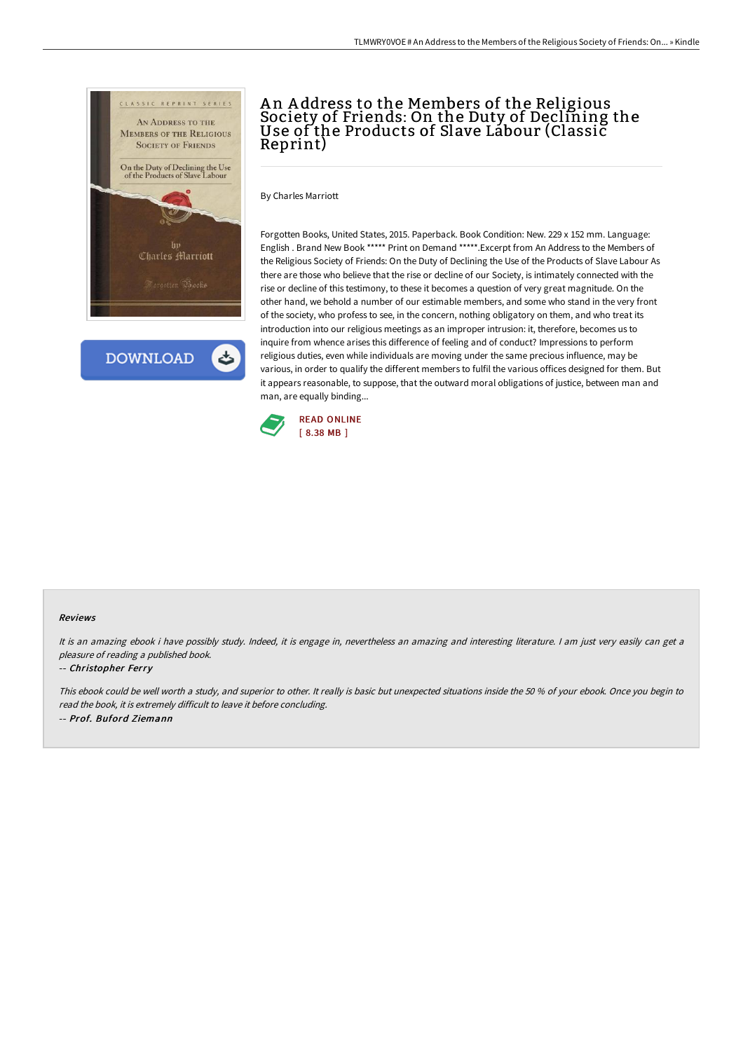

**DOWNLOAD** 

## A n A ddress to the Members of the Religious Society of Friends: On the Duty of Declining the Use of the Products of Slave Labour (Classic Reprint)

By Charles Marriott

Forgotten Books, United States, 2015. Paperback. Book Condition: New. 229 x 152 mm. Language: English . Brand New Book \*\*\*\*\* Print on Demand \*\*\*\*\*.Excerpt from An Address to the Members of the Religious Society of Friends: On the Duty of Declining the Use of the Products of Slave Labour As there are those who believe that the rise or decline of our Society, is intimately connected with the rise or decline of this testimony, to these it becomes a question of very great magnitude. On the other hand, we behold a number of our estimable members, and some who stand in the very front of the society, who profess to see, in the concern, nothing obligatory on them, and who treat its introduction into our religious meetings as an improper intrusion: it, therefore, becomes us to inquire from whence arises this difference of feeling and of conduct? Impressions to perform religious duties, even while individuals are moving under the same precious influence, may be various, in order to qualify the different members to fulfil the various offices designed for them. But it appears reasonable, to suppose, that the outward moral obligations of justice, between man and man, are equally binding...



## Reviews

It is an amazing ebook i have possibly study. Indeed, it is engage in, nevertheless an amazing and interesting literature. I am just very easily can get a pleasure of reading <sup>a</sup> published book.

## -- Christopher Ferry

This ebook could be well worth <sup>a</sup> study, and superior to other. It really is basic but unexpected situations inside the <sup>50</sup> % of your ebook. Once you begin to read the book, it is extremely difficult to leave it before concluding. -- Prof. Buford Ziemann